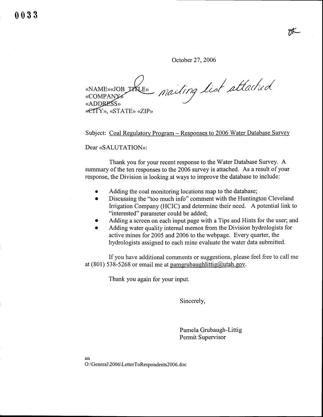91K

October 27, 2006

mailing list attached «NAME»<JOB\_LKLE» **«COMPANY»** «ADDRESS» **«ETTY»**, «STATE» «ZIP»

Subject: Coal Regulatory Program - Responses to 2006 Water Database Survey

Dear «SALUTATION»:

Thank you for your recent response to the Water Database Survey. A summary of the ten responses to the 2006 survey is attached. As a result of your response, the Division is looking at ways to improve the database to include:

- Adding the coal monitoring locations map to the database;
- o Discussing the "too much info" comment with the Huntington Cleveland Irrigation Company (HCIC) and determine their need. A potential link to "interested" parameter could be added;
- . Adding a screen on each input page with a Tips and Hints for the user; and
- Adding water quality internal memos from the Division hydrologists for active mines for 2005 and 2006 to the webpage. Every quarter, the hydrologists assigned to each mine evaluate the water data submitted.

If you have additional comments or suggestions, please feel free to call me at  $(801)$  538-5268 or email me at pamgrubaughlittig@utah.gov.

Thank you again for your input.

Sincerely,

Pamela Grubaugh-Littig Permit Supervisor

an O:\General\2006\LetterToRespondents2006.doc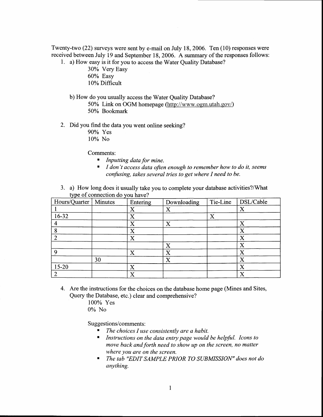Twenty-two (22) surveys were sent by e-mail on July 18, 2006. Ten (10) responses were received between July 19 and September 18, 2006. A summary of the responses follows:

- 1. a) How easy is it for you to access the Water Quality Database?
	- 30% Very Easy 60% Easy 10% Difficult
	- b) How do you usually access the Water Quality Database?
		- 50% Link on OGM homepage (http://www.ogm.utah.gov/) 50% Bookmark
- 2. Did you find the data you went online seeking?
	- 90% Yes
	- 10% No

Comments:

- $\blacksquare$ Inputting data for mine.
- I don't access data often enough to remember how to do it, seems confusing, takes several tries to get where I need to be.
- 3. a) How long does it usually take you to complete your database activities?/What type of connection do you have?

| Hours/Quarter | Minutes | Entering              | Downloading           | Tie-Line              | DSL/Cable |
|---------------|---------|-----------------------|-----------------------|-----------------------|-----------|
|               |         | X                     | X                     |                       | X         |
| 16-32         |         | X                     |                       | $\overline{\text{X}}$ |           |
|               |         | X                     | X                     |                       | X         |
|               |         | X                     |                       |                       | X         |
|               |         | X                     |                       |                       | X         |
|               |         |                       | X                     |                       | X         |
| $\Omega$      |         | X                     | $\overline{\text{X}}$ |                       | X         |
|               | 30      |                       | X                     |                       | X         |
| $15-20$       |         | X                     |                       |                       | X         |
|               |         | $\overline{\text{X}}$ |                       |                       | X         |

4. Are the instructions for the choices on the database home page (Mines and Sites, Query the Database, etc.) clear and comprehensive?

> 100% Yes 0% No

Suggestions/comments:

- $\blacksquare$ The choices I use consistently are a habit.
- Instructions on the data entry page would be helpful. Icons to  $\blacksquare$ move back and forth need to show up on the screen, no matter where you are on the screen.
- The tab "EDIT SAMPLE PRIOR TO SUBMISSION" does not do  $\blacksquare$ anything.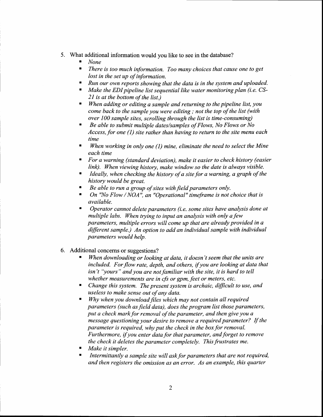- 5. What additional information would you like to see in the database?
	- None
	- There is too much information. Too many choices that cause one to get lost in the set up of information.
	- $\blacksquare$  Run our own reports showing that the data is in the system and uploaded.
	- $\blacksquare$  Make the EDI pipeline list sequential like water monitoring plan (i.e. CS-2I is at the bottom of the list.)
	- When adding or editing a sample and returning to the pipeline list, you come back to the sample you were editing ; not the top of the list (with over 100 sample sites, scrolling through the list is time-consuming)
	- $\blacksquare$  Be able to submit multiple dates/samples of Flows, No Flows or No Access, for one (1) site rather than having to return to the site menu each time
	- When working in only one  $(1)$  mine, eliminate the need to select the Mine each time
	- t For a warning (standard deviation), make it easier to check history (easier link). When viewing history, make window so the date is always visible.
	- Ideally, when checking the history of a site for a warning, a graph of the history would be great.
	- Be able to run a group of sites with field parameters only.
	- On "No Flow / NOA", an "Operational" timeframe is not choice that is available.
	- ' Operator cannot delete parameters (i.e. some sites have analysis done at multiple labs. When trying to input an analysis with only a few parameters, multiple errors will come up that are already provided in a different sample.) An option to add an individual sample with individual parameters would help.
- Additional concerns or suggestions? 6.
	- When downloading or looking at data, it doesn't seem that the units are included. For flow rate, depth, and others, if you are looking at data that  $isn't$  "yours" and you are not familiar with the site, it is hard to tell whether measurements are in cfs or gpm, feet or meters, etc.
	- Change this system. The present system is archaic, difficult to use, and useless to make sense out of any data.
	- $\blacksquare$  Why when you download files which may not contain all required parameters (such as field data), does the program list those parameters, put a check mark for removal of the parameter, and then give you a message questioning your desire to remove a required parameter? If the parameter is required, why put the check in the box for removal. Furthermore, if you enter data for that parameter, and forget to remove the check it deletes the parameter completely. This frustrates me.
	- Make it simpler.
	- Intermittantly a sample site will ask for parameters that are not required, and then registers the omission as an error. As an example, this quarter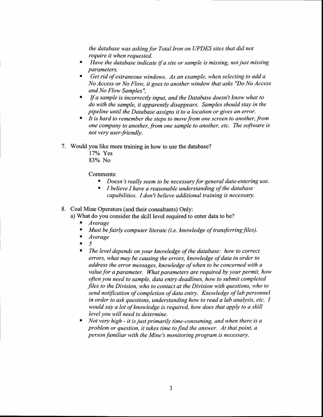the database was asking for Total lron on UPDES sites that did not require it when requested.

- $\blacksquare$ Have the database indicate if a site or sample is missing, not just missing parameters.
- Get rid of extraneous windows. As an example, when selecting to add a No Access or No Flow, it goes to another window that asks "Do No Access" and No Flow Samples",
- If a sample is incorrectly input, and the Database doesn't know what to ш do with the sample, it apparently disappears. Samples should stay in the pipeline until the Database assigns it to a location or gives an error.
- ' It is hard to remember the steps to move from one screen to another, from one company to another, from one sample to another, etc. The software is not very user-friendly.
- 7. Would you like more training in how to use the database?
	- lTYo Yes 83% No

Comments:

- Doesn't really seem to be necessary for general data-entering use.
- t I believe I have a reasonable understanding af the database capabilities. I don't believe additional training is necessary.
- 8. Coal Mine Operators (and their consultants) Only:
	- a) What do you consider the skill level required to enter data to be?
		- **Average**
		- $\blacksquare$  Must be fairly computer literate (i.e. knowledge of transferring files).
		- . Average
		- r J 5
		- $\blacksquare$  The level depends on your knowledge of the database: how to correct errors, what may be causing the errors, knowledge of data in order to address the error messages, knowledge of when to be concerned with a value for a parameter. What parameters are required by your permit, how often you need to sample, data entry deadlines, how to submit completed files to the Division, who to contact at the Division with questions, who to send notification of completion of data entry. Knowledge of lab personnel in order to ask questions, understanding how to read a lab analysis, etc. I would say a lot of knowledge is required, how does that apply to a skill level you will need to determine.
		- $\blacksquare$  Not very high it is just primarily time-consuming, and when there is a problem or question, it takes time to find the answer. At that point, a person familiar with the Mine's monitoring program is necessary.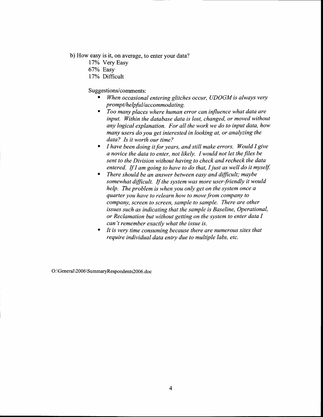b) How easy is it, on average, to enter your data?

- 17% Very Easy
- 67% Easy
- 17% Difficult

Suggestions/comments :

- When occasional entering glitches occur, UDOGM is always very prompt/helpful/accommodating.
- $\blacksquare$  Too many places where human error can influence what data are input. Within the database data is lost, changed, or moved without any logical explanation. For all the work we do to input data, how many users do you get interested in looking at, or analyzing the data? Is it worth our time?
- $\blacksquare$  I have been doing it for years, and still make errors. Would I give a novice the data to enter, not likely. I would not let the files be sent to the Division without having to check and recheck the data entered. If I am going to have to do that, I just as well do it myself.
- $\blacksquare$  There should be an answer between easy and difficult; maybe somewhat difficult. If the system was more user-friendly it would help. The problem is when you only get on the system once a quarter you have to relearn how to move from company to Example is such as indicating that the sample is Baseline, Operational, company, screen to screen, sample to sample. There are other or Reclamation but without getting on the system to enter data I can't remember exactly what the issue is.
- It is very time consuming because there are numerous sites that require individual data entry due to multiple labs, etc.

O:\General\2006\SummaryRespondents2006.doc